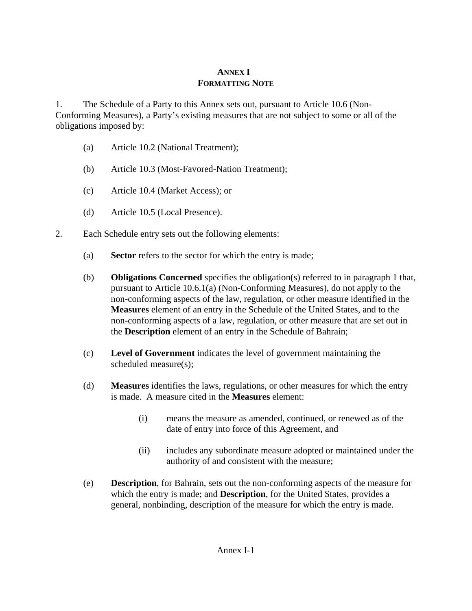## **ANNEX I FORMATTING NOTE**

1. The Schedule of a Party to this Annex sets out, pursuant to Article 10.6 (Non-Conforming Measures), a Party's existing measures that are not subject to some or all of the obligations imposed by:

- (a) Article 10.2 (National Treatment);
- (b) Article 10.3 (Most-Favored-Nation Treatment);
- (c) Article 10.4 (Market Access); or
- (d) Article 10.5 (Local Presence).
- 2. Each Schedule entry sets out the following elements:
	- (a) **Sector** refers to the sector for which the entry is made;
	- (b) **Obligations Concerned** specifies the obligation(s) referred to in paragraph 1 that, pursuant to Article 10.6.1(a) (Non-Conforming Measures), do not apply to the non-conforming aspects of the law, regulation, or other measure identified in the **Measures** element of an entry in the Schedule of the United States, and to the non-conforming aspects of a law, regulation, or other measure that are set out in the **Description** element of an entry in the Schedule of Bahrain;
	- (c) **Level of Government** indicates the level of government maintaining the scheduled measure(s);
	- (d) **Measures** identifies the laws, regulations, or other measures for which the entry is made. A measure cited in the **Measures** element:
		- (i) means the measure as amended, continued, or renewed as of the date of entry into force of this Agreement, and
		- (ii) includes any subordinate measure adopted or maintained under the authority of and consistent with the measure;
	- (e) **Description**, for Bahrain, sets out the non-conforming aspects of the measure for which the entry is made; and **Description**, for the United States, provides a general, nonbinding, description of the measure for which the entry is made.